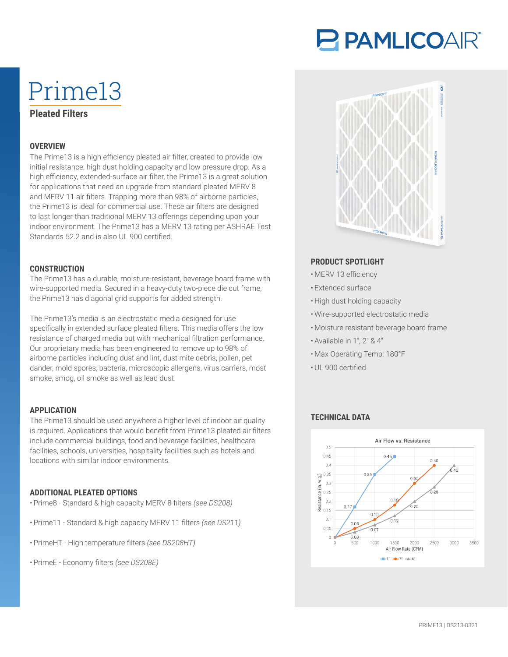# P PAMLICOAIR®

# Prime13 **Pleated Filters**

#### **OVERVIEW**

The Prime13 is a high efficiency pleated air filter, created to provide low initial resistance, high dust holding capacity and low pressure drop. As a high efficiency, extended-surface air filter, the Prime13 is a great solution for applications that need an upgrade from standard pleated MERV 8 and MERV 11 air filters. Trapping more than 98% of airborne particles, the Prime13 is ideal for commercial use. These air filters are designed to last longer than traditional MERV 13 offerings depending upon your indoor environment. The Prime13 has a MERV 13 rating per ASHRAE Test Standards 52.2 and is also UL 900 certified.

#### **CONSTRUCTION**

The Prime13 has a durable, moisture-resistant, beverage board frame with wire-supported media. Secured in a heavy-duty two-piece die cut frame, the Prime13 has diagonal grid supports for added strength.

The Prime13's media is an electrostatic media designed for use specifically in extended surface pleated filters. This media offers the low resistance of charged media but with mechanical filtration performance. Our proprietary media has been engineered to remove up to 98% of airborne particles including dust and lint, dust mite debris, pollen, pet dander, mold spores, bacteria, microscopic allergens, virus carriers, most smoke, smog, oil smoke as well as lead dust.

#### **APPLICATION**

The Prime13 should be used anywhere a higher level of indoor air quality is required. Applications that would benefit from Prime13 pleated air filters include commercial buildings, food and beverage facilities, healthcare facilities, schools, universities, hospitality facilities such as hotels and locations with similar indoor environments.

#### **ADDITIONAL PLEATED OPTIONS**

- Prime8 Standard & high capacity MERV 8 filters *(see DS208)*
- Prime11 Standard & high capacity MERV 11 filters *(see DS211)*
- PrimeHT High temperature filters *(see DS208HT)*
- PrimeE Economy filters *(see DS208E)*



#### **PRODUCT SPOTLIGHT**

- MERV 13 efficiency
- Extended surface
- High dust holding capacity
- Wire-supported electrostatic media
- Moisture resistant beverage board frame
- Available in 1″, 2″ & 4″
- Max Operating Temp: 180°F
- UL 900 certified

## **TECHNICAL DATA**